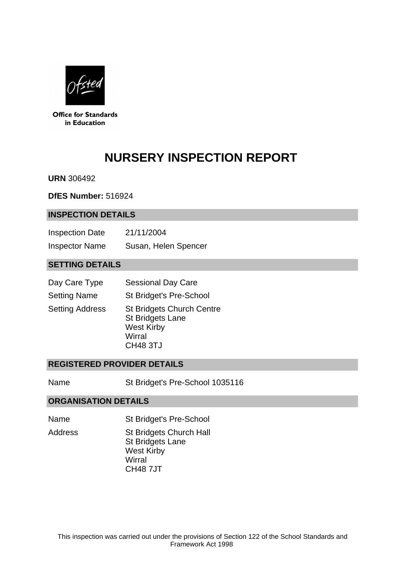

**Office for Standards** in Education

# **NURSERY INSPECTION REPORT**

**URN** 306492

**DfES Number:** 516924

#### **INSPECTION DETAILS**

| <b>Inspection Date</b> | 21/11/2004           |
|------------------------|----------------------|
| <b>Inspector Name</b>  | Susan, Helen Spencer |

## **SETTING DETAILS**

| Day Care Type          | <b>Sessional Day Care</b>                                                                                     |
|------------------------|---------------------------------------------------------------------------------------------------------------|
| <b>Setting Name</b>    | St Bridget's Pre-School                                                                                       |
| <b>Setting Address</b> | <b>St Bridgets Church Centre</b><br><b>St Bridgets Lane</b><br><b>West Kirby</b><br>Wirral<br><b>CH48 3TJ</b> |

#### **REGISTERED PROVIDER DETAILS**

Name St Bridget's Pre-School 1035116

#### **ORGANISATION DETAILS**

- Name St Bridget's Pre-School
- Address St Bridgets Church Hall St Bridgets Lane West Kirby **Wirral** CH48 7JT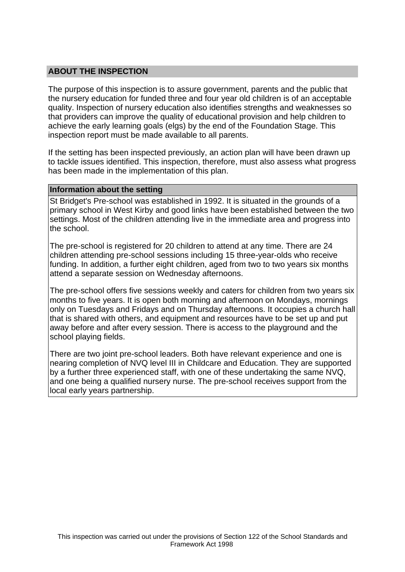## **ABOUT THE INSPECTION**

The purpose of this inspection is to assure government, parents and the public that the nursery education for funded three and four year old children is of an acceptable quality. Inspection of nursery education also identifies strengths and weaknesses so that providers can improve the quality of educational provision and help children to achieve the early learning goals (elgs) by the end of the Foundation Stage. This inspection report must be made available to all parents.

If the setting has been inspected previously, an action plan will have been drawn up to tackle issues identified. This inspection, therefore, must also assess what progress has been made in the implementation of this plan.

#### **Information about the setting**

St Bridget's Pre-school was established in 1992. It is situated in the grounds of a primary school in West Kirby and good links have been established between the two settings. Most of the children attending live in the immediate area and progress into the school.

The pre-school is registered for 20 children to attend at any time. There are 24 children attending pre-school sessions including 15 three-year-olds who receive funding. In addition, a further eight children, aged from two to two years six months attend a separate session on Wednesday afternoons.

The pre-school offers five sessions weekly and caters for children from two years six months to five years. It is open both morning and afternoon on Mondays, mornings only on Tuesdays and Fridays and on Thursday afternoons. It occupies a church hall that is shared with others, and equipment and resources have to be set up and put away before and after every session. There is access to the playground and the school playing fields.

There are two joint pre-school leaders. Both have relevant experience and one is nearing completion of NVQ level III in Childcare and Education. They are supported by a further three experienced staff, with one of these undertaking the same NVQ, and one being a qualified nursery nurse. The pre-school receives support from the local early years partnership.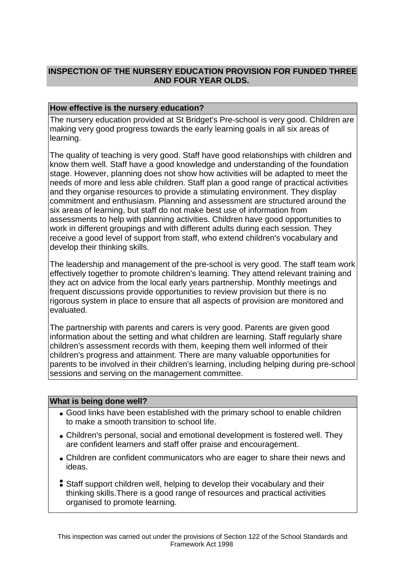# **INSPECTION OF THE NURSERY EDUCATION PROVISION FOR FUNDED THREE AND FOUR YEAR OLDS.**

## **How effective is the nursery education?**

The nursery education provided at St Bridget's Pre-school is very good. Children are making very good progress towards the early learning goals in all six areas of learning.

The quality of teaching is very good. Staff have good relationships with children and know them well. Staff have a good knowledge and understanding of the foundation stage. However, planning does not show how activities will be adapted to meet the needs of more and less able children. Staff plan a good range of practical activities and they organise resources to provide a stimulating environment. They display commitment and enthusiasm. Planning and assessment are structured around the six areas of learning, but staff do not make best use of information from assessments to help with planning activities. Children have good opportunities to work in different groupings and with different adults during each session. They receive a good level of support from staff, who extend children's vocabulary and develop their thinking skills.

The leadership and management of the pre-school is very good. The staff team work effectively together to promote children's learning. They attend relevant training and they act on advice from the local early years partnership. Monthly meetings and frequent discussions provide opportunities to review provision but there is no rigorous system in place to ensure that all aspects of provision are monitored and evaluated.

The partnership with parents and carers is very good. Parents are given good information about the setting and what children are learning. Staff regularly share children's assessment records with them, keeping them well informed of their children's progress and attainment. There are many valuable opportunities for parents to be involved in their children's learning, including helping during pre-school sessions and serving on the management committee.

#### **What is being done well?**

- Good links have been established with the primary school to enable children to make a smooth transition to school life.
- Children's personal, social and emotional development is fostered well. They are confident learners and staff offer praise and encouragement.
- Children are confident communicators who are eager to share their news and ideas.
- Staff support children well, helping to develop their vocabulary and their thinking skills.There is a good range of resources and practical activities organised to promote learning.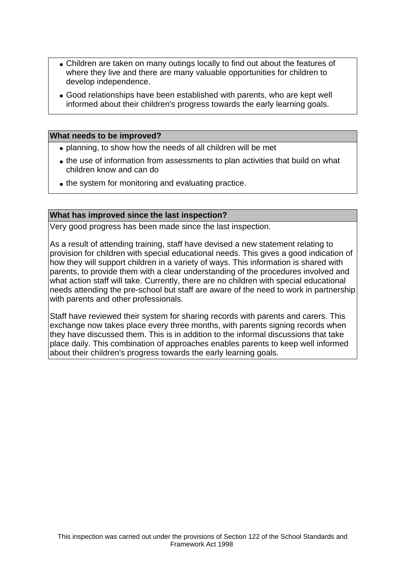- Children are taken on many outings locally to find out about the features of where they live and there are many valuable opportunities for children to develop independence.
- Good relationships have been established with parents, who are kept well informed about their children's progress towards the early learning goals.

#### **What needs to be improved?**

- planning, to show how the needs of all children will be met
- the use of information from assessments to plan activities that build on what children know and can do
- the system for monitoring and evaluating practice.

#### **What has improved since the last inspection?**

Very good progress has been made since the last inspection.

As a result of attending training, staff have devised a new statement relating to provision for children with special educational needs. This gives a good indication of how they will support children in a variety of ways. This information is shared with parents, to provide them with a clear understanding of the procedures involved and what action staff will take. Currently, there are no children with special educational needs attending the pre-school but staff are aware of the need to work in partnership with parents and other professionals.

Staff have reviewed their system for sharing records with parents and carers. This exchange now takes place every three months, with parents signing records when they have discussed them. This is in addition to the informal discussions that take place daily. This combination of approaches enables parents to keep well informed about their children's progress towards the early learning goals.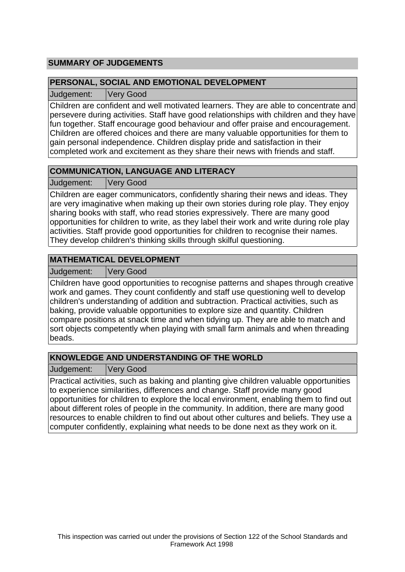# **SUMMARY OF JUDGEMENTS**

## **PERSONAL, SOCIAL AND EMOTIONAL DEVELOPMENT**

Judgement: Very Good

Children are confident and well motivated learners. They are able to concentrate and persevere during activities. Staff have good relationships with children and they have fun together. Staff encourage good behaviour and offer praise and encouragement. Children are offered choices and there are many valuable opportunities for them to gain personal independence. Children display pride and satisfaction in their completed work and excitement as they share their news with friends and staff.

# **COMMUNICATION, LANGUAGE AND LITERACY**

Judgement: Very Good

Children are eager communicators, confidently sharing their news and ideas. They are very imaginative when making up their own stories during role play. They enjoy sharing books with staff, who read stories expressively. There are many good opportunities for children to write, as they label their work and write during role play activities. Staff provide good opportunities for children to recognise their names. They develop children's thinking skills through skilful questioning.

# **MATHEMATICAL DEVELOPMENT**

Judgement: Very Good

Children have good opportunities to recognise patterns and shapes through creative work and games. They count confidently and staff use questioning well to develop children's understanding of addition and subtraction. Practical activities, such as baking, provide valuable opportunities to explore size and quantity. Children compare positions at snack time and when tidying up. They are able to match and sort objects competently when playing with small farm animals and when threading beads.

# **KNOWLEDGE AND UNDERSTANDING OF THE WORLD**

Judgement: Very Good

Practical activities, such as baking and planting give children valuable opportunities to experience similarities, differences and change. Staff provide many good opportunities for children to explore the local environment, enabling them to find out about different roles of people in the community. In addition, there are many good resources to enable children to find out about other cultures and beliefs. They use a computer confidently, explaining what needs to be done next as they work on it.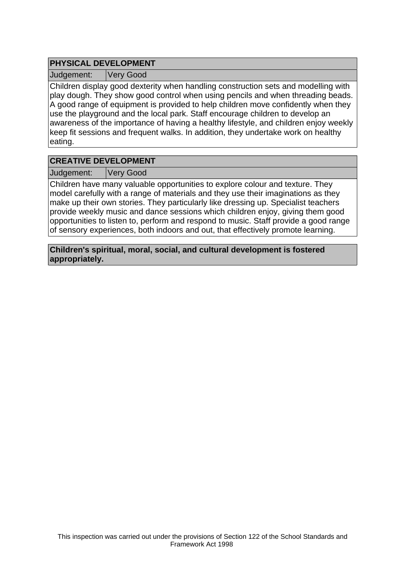## **PHYSICAL DEVELOPMENT**

Judgement: Very Good

Children display good dexterity when handling construction sets and modelling with play dough. They show good control when using pencils and when threading beads. A good range of equipment is provided to help children move confidently when they use the playground and the local park. Staff encourage children to develop an awareness of the importance of having a healthy lifestyle, and children enjoy weekly keep fit sessions and frequent walks. In addition, they undertake work on healthy eating.

## **CREATIVE DEVELOPMENT**

Judgement: Very Good

Children have many valuable opportunities to explore colour and texture. They model carefully with a range of materials and they use their imaginations as they make up their own stories. They particularly like dressing up. Specialist teachers provide weekly music and dance sessions which children enjoy, giving them good opportunities to listen to, perform and respond to music. Staff provide a good range of sensory experiences, both indoors and out, that effectively promote learning.

**Children's spiritual, moral, social, and cultural development is fostered appropriately.**